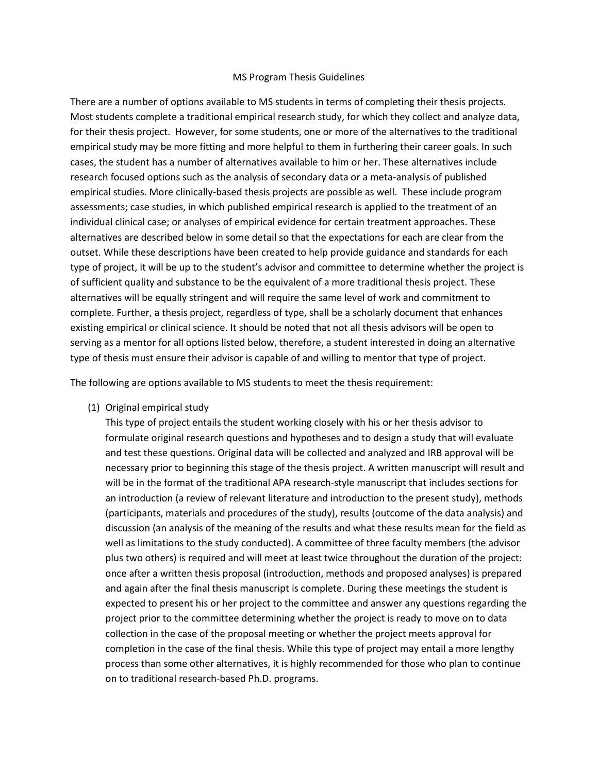#### MS Program Thesis Guidelines

There are a number of options available to MS students in terms of completing their thesis projects. Most students complete a traditional empirical research study, for which they collect and analyze data, for their thesis project. However, for some students, one or more of the alternatives to the traditional empirical study may be more fitting and more helpful to them in furthering their career goals. In such cases, the student has a number of alternatives available to him or her. These alternatives include research focused options such as the analysis of secondary data or a meta-analysis of published empirical studies. More clinically-based thesis projects are possible as well. These include program assessments; case studies, in which published empirical research is applied to the treatment of an individual clinical case; or analyses of empirical evidence for certain treatment approaches. These alternatives are described below in some detail so that the expectations for each are clear from the outset. While these descriptions have been created to help provide guidance and standards for each type of project, it will be up to the student's advisor and committee to determine whether the project is of sufficient quality and substance to be the equivalent of a more traditional thesis project. These alternatives will be equally stringent and will require the same level of work and commitment to complete. Further, a thesis project, regardless of type, shall be a scholarly document that enhances existing empirical or clinical science. It should be noted that not all thesis advisors will be open to serving as a mentor for all options listed below, therefore, a student interested in doing an alternative type of thesis must ensure their advisor is capable of and willing to mentor that type of project.

The following are options available to MS students to meet the thesis requirement:

(1) Original empirical study

This type of project entails the student working closely with his or her thesis advisor to formulate original research questions and hypotheses and to design a study that will evaluate and test these questions. Original data will be collected and analyzed and IRB approval will be necessary prior to beginning this stage of the thesis project. A written manuscript will result and will be in the format of the traditional APA research-style manuscript that includes sections for an introduction (a review of relevant literature and introduction to the present study), methods (participants, materials and procedures of the study), results (outcome of the data analysis) and discussion (an analysis of the meaning of the results and what these results mean for the field as well as limitations to the study conducted). A committee of three faculty members (the advisor plus two others) is required and will meet at least twice throughout the duration of the project: once after a written thesis proposal (introduction, methods and proposed analyses) is prepared and again after the final thesis manuscript is complete. During these meetings the student is expected to present his or her project to the committee and answer any questions regarding the project prior to the committee determining whether the project is ready to move on to data collection in the case of the proposal meeting or whether the project meets approval for completion in the case of the final thesis. While this type of project may entail a more lengthy process than some other alternatives, it is highly recommended for those who plan to continue on to traditional research-based Ph.D. programs.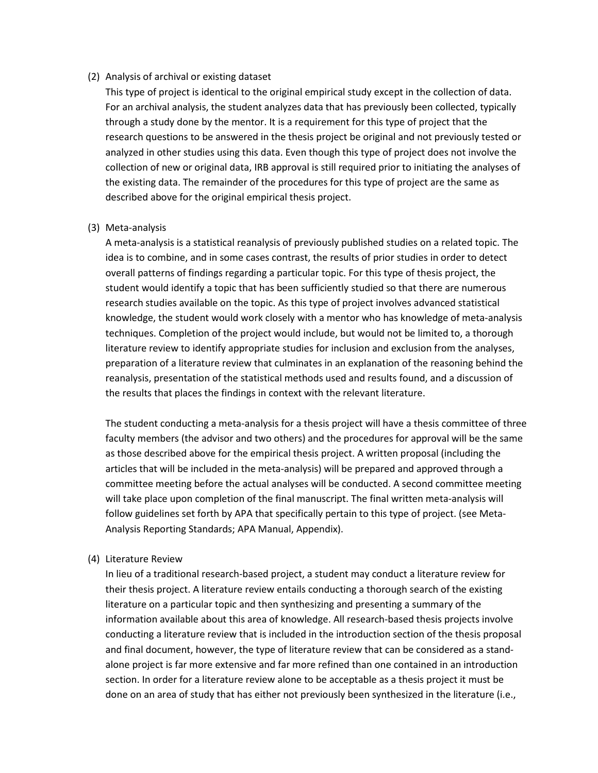## (2) Analysis of archival or existing dataset

This type of project is identical to the original empirical study except in the collection of data. For an archival analysis, the student analyzes data that has previously been collected, typically through a study done by the mentor. It is a requirement for this type of project that the research questions to be answered in the thesis project be original and not previously tested or analyzed in other studies using this data. Even though this type of project does not involve the collection of new or original data, IRB approval is still required prior to initiating the analyses of the existing data. The remainder of the procedures for this type of project are the same as described above for the original empirical thesis project.

## (3) Meta-analysis

A meta-analysis is a statistical reanalysis of previously published studies on a related topic. The idea is to combine, and in some cases contrast, the results of prior studies in order to detect overall patterns of findings regarding a particular topic. For this type of thesis project, the student would identify a topic that has been sufficiently studied so that there are numerous research studies available on the topic. As this type of project involves advanced statistical knowledge, the student would work closely with a mentor who has knowledge of meta-analysis techniques. Completion of the project would include, but would not be limited to, a thorough literature review to identify appropriate studies for inclusion and exclusion from the analyses, preparation of a literature review that culminates in an explanation of the reasoning behind the reanalysis, presentation of the statistical methods used and results found, and a discussion of the results that places the findings in context with the relevant literature.

The student conducting a meta-analysis for a thesis project will have a thesis committee of three faculty members (the advisor and two others) and the procedures for approval will be the same as those described above for the empirical thesis project. A written proposal (including the articles that will be included in the meta-analysis) will be prepared and approved through a committee meeting before the actual analyses will be conducted. A second committee meeting will take place upon completion of the final manuscript. The final written meta-analysis will follow guidelines set forth by APA that specifically pertain to this type of project. (see Meta-Analysis Reporting Standards; APA Manual, Appendix).

# (4) Literature Review

In lieu of a traditional research-based project, a student may conduct a literature review for their thesis project. A literature review entails conducting a thorough search of the existing literature on a particular topic and then synthesizing and presenting a summary of the information available about this area of knowledge. All research-based thesis projects involve conducting a literature review that is included in the introduction section of the thesis proposal and final document, however, the type of literature review that can be considered as a standalone project is far more extensive and far more refined than one contained in an introduction section. In order for a literature review alone to be acceptable as a thesis project it must be done on an area of study that has either not previously been synthesized in the literature (i.e.,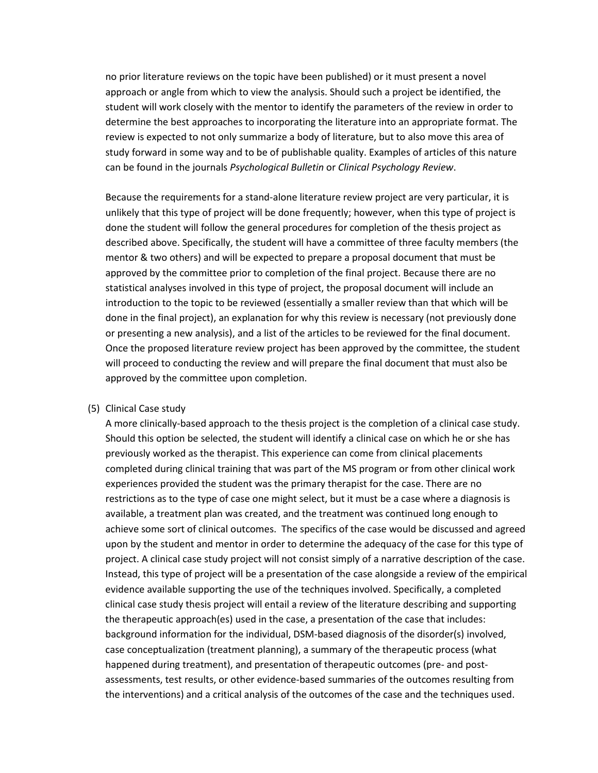no prior literature reviews on the topic have been published) or it must present a novel approach or angle from which to view the analysis. Should such a project be identified, the student will work closely with the mentor to identify the parameters of the review in order to determine the best approaches to incorporating the literature into an appropriate format. The review is expected to not only summarize a body of literature, but to also move this area of study forward in some way and to be of publishable quality. Examples of articles of this nature can be found in the journals *Psychological Bulletin* or *Clinical Psychology Review*.

Because the requirements for a stand-alone literature review project are very particular, it is unlikely that this type of project will be done frequently; however, when this type of project is done the student will follow the general procedures for completion of the thesis project as described above. Specifically, the student will have a committee of three faculty members (the mentor & two others) and will be expected to prepare a proposal document that must be approved by the committee prior to completion of the final project. Because there are no statistical analyses involved in this type of project, the proposal document will include an introduction to the topic to be reviewed (essentially a smaller review than that which will be done in the final project), an explanation for why this review is necessary (not previously done or presenting a new analysis), and a list of the articles to be reviewed for the final document. Once the proposed literature review project has been approved by the committee, the student will proceed to conducting the review and will prepare the final document that must also be approved by the committee upon completion.

### (5) Clinical Case study

A more clinically-based approach to the thesis project is the completion of a clinical case study. Should this option be selected, the student will identify a clinical case on which he or she has previously worked as the therapist. This experience can come from clinical placements completed during clinical training that was part of the MS program or from other clinical work experiences provided the student was the primary therapist for the case. There are no restrictions as to the type of case one might select, but it must be a case where a diagnosis is available, a treatment plan was created, and the treatment was continued long enough to achieve some sort of clinical outcomes. The specifics of the case would be discussed and agreed upon by the student and mentor in order to determine the adequacy of the case for this type of project. A clinical case study project will not consist simply of a narrative description of the case. Instead, this type of project will be a presentation of the case alongside a review of the empirical evidence available supporting the use of the techniques involved. Specifically, a completed clinical case study thesis project will entail a review of the literature describing and supporting the therapeutic approach(es) used in the case, a presentation of the case that includes: background information for the individual, DSM-based diagnosis of the disorder(s) involved, case conceptualization (treatment planning), a summary of the therapeutic process (what happened during treatment), and presentation of therapeutic outcomes (pre- and postassessments, test results, or other evidence-based summaries of the outcomes resulting from the interventions) and a critical analysis of the outcomes of the case and the techniques used.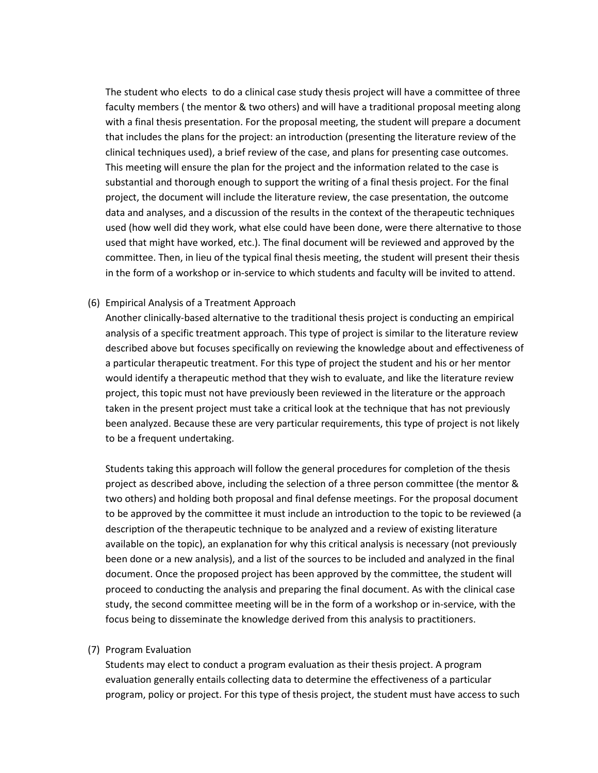The student who elects to do a clinical case study thesis project will have a committee of three faculty members ( the mentor & two others) and will have a traditional proposal meeting along with a final thesis presentation. For the proposal meeting, the student will prepare a document that includes the plans for the project: an introduction (presenting the literature review of the clinical techniques used), a brief review of the case, and plans for presenting case outcomes. This meeting will ensure the plan for the project and the information related to the case is substantial and thorough enough to support the writing of a final thesis project. For the final project, the document will include the literature review, the case presentation, the outcome data and analyses, and a discussion of the results in the context of the therapeutic techniques used (how well did they work, what else could have been done, were there alternative to those used that might have worked, etc.). The final document will be reviewed and approved by the committee. Then, in lieu of the typical final thesis meeting, the student will present their thesis in the form of a workshop or in-service to which students and faculty will be invited to attend.

## (6) Empirical Analysis of a Treatment Approach

Another clinically-based alternative to the traditional thesis project is conducting an empirical analysis of a specific treatment approach. This type of project is similar to the literature review described above but focuses specifically on reviewing the knowledge about and effectiveness of a particular therapeutic treatment. For this type of project the student and his or her mentor would identify a therapeutic method that they wish to evaluate, and like the literature review project, this topic must not have previously been reviewed in the literature or the approach taken in the present project must take a critical look at the technique that has not previously been analyzed. Because these are very particular requirements, this type of project is not likely to be a frequent undertaking.

Students taking this approach will follow the general procedures for completion of the thesis project as described above, including the selection of a three person committee (the mentor & two others) and holding both proposal and final defense meetings. For the proposal document to be approved by the committee it must include an introduction to the topic to be reviewed (a description of the therapeutic technique to be analyzed and a review of existing literature available on the topic), an explanation for why this critical analysis is necessary (not previously been done or a new analysis), and a list of the sources to be included and analyzed in the final document. Once the proposed project has been approved by the committee, the student will proceed to conducting the analysis and preparing the final document. As with the clinical case study, the second committee meeting will be in the form of a workshop or in-service, with the focus being to disseminate the knowledge derived from this analysis to practitioners.

### (7) Program Evaluation

Students may elect to conduct a program evaluation as their thesis project. A program evaluation generally entails collecting data to determine the effectiveness of a particular program, policy or project. For this type of thesis project, the student must have access to such